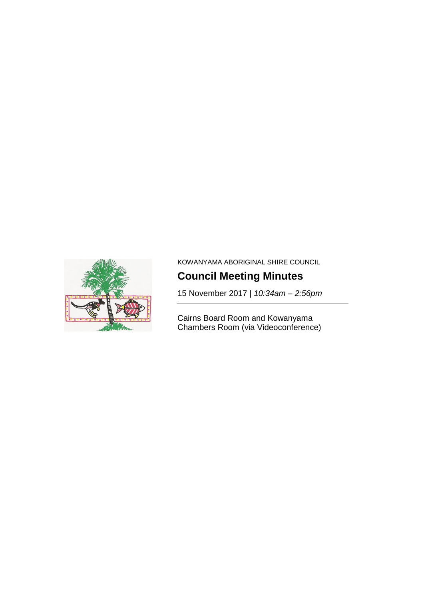

KOWANYAMA ABORIGINAL SHIRE COUNCIL

# **Council Meeting Minutes**

15 November 2017 | *10:34am – 2:56pm*

Cairns Board Room and Kowanyama Chambers Room (via Videoconference)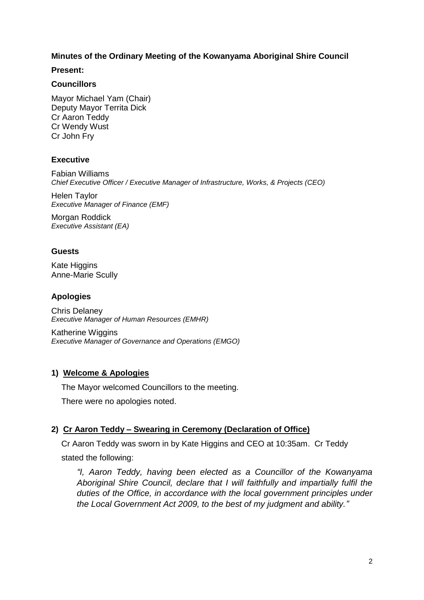## **Minutes of the Ordinary Meeting of the Kowanyama Aboriginal Shire Council**

#### **Present:**

## **Councillors**

Mayor Michael Yam (Chair) Deputy Mayor Territa Dick Cr Aaron Teddy Cr Wendy Wust Cr John Fry

## **Executive**

Fabian Williams *Chief Executive Officer / Executive Manager of Infrastructure, Works, & Projects (CEO)*

Helen Taylor *Executive Manager of Finance (EMF)*

Morgan Roddick *Executive Assistant (EA)*

## **Guests**

Kate Higgins Anne-Marie Scully

## **Apologies**

Chris Delaney *Executive Manager of Human Resources (EMHR)*

Katherine Wiggins *Executive Manager of Governance and Operations (EMGO)*

## **1) Welcome & Apologies**

The Mayor welcomed Councillors to the meeting.

There were no apologies noted.

## **2) Cr Aaron Teddy – Swearing in Ceremony (Declaration of Office)**

Cr Aaron Teddy was sworn in by Kate Higgins and CEO at 10:35am. Cr Teddy stated the following:

*"I, Aaron Teddy, having been elected as a Councillor of the Kowanyama Aboriginal Shire Council, declare that I will faithfully and impartially fulfil the duties of the Office, in accordance with the local government principles under the Local Government Act 2009, to the best of my judgment and ability."*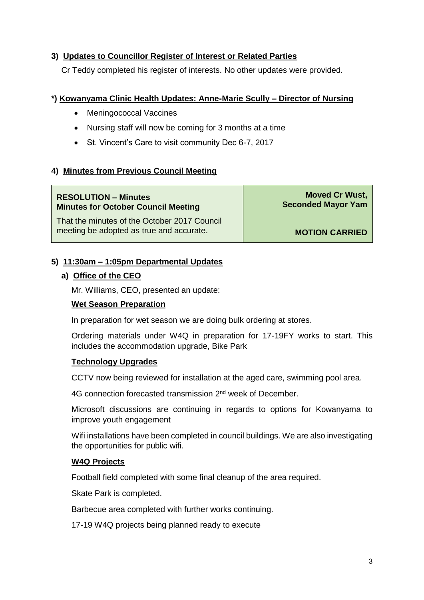# **3) Updates to Councillor Register of Interest or Related Parties**

Cr Teddy completed his register of interests. No other updates were provided.

## **\*) Kowanyama Clinic Health Updates: Anne-Marie Scully – Director of Nursing**

- Meningococcal Vaccines
- Nursing staff will now be coming for 3 months at a time
- St. Vincent's Care to visit community Dec 6-7, 2017

# **4) Minutes from Previous Council Meeting**

#### **RESOLUTION – Minutes Minutes for October Council Meeting**

That the minutes of the October 2017 Council meeting be adopted as true and accurate.

**Moved Cr Wust, Seconded Mayor Yam**

**MOTION CARRIED**

## **5) 11:30am – 1:05pm Departmental Updates**

## **a) Office of the CEO**

Mr. Williams, CEO, presented an update:

## **Wet Season Preparation**

In preparation for wet season we are doing bulk ordering at stores.

Ordering materials under W4Q in preparation for 17-19FY works to start. This includes the accommodation upgrade, Bike Park

## **Technology Upgrades**

CCTV now being reviewed for installation at the aged care, swimming pool area.

4G connection forecasted transmission 2<sup>nd</sup> week of December.

Microsoft discussions are continuing in regards to options for Kowanyama to improve youth engagement

Wifi installations have been completed in council buildings. We are also investigating the opportunities for public wifi.

## **W4Q Projects**

Football field completed with some final cleanup of the area required.

Skate Park is completed.

Barbecue area completed with further works continuing.

17-19 W4Q projects being planned ready to execute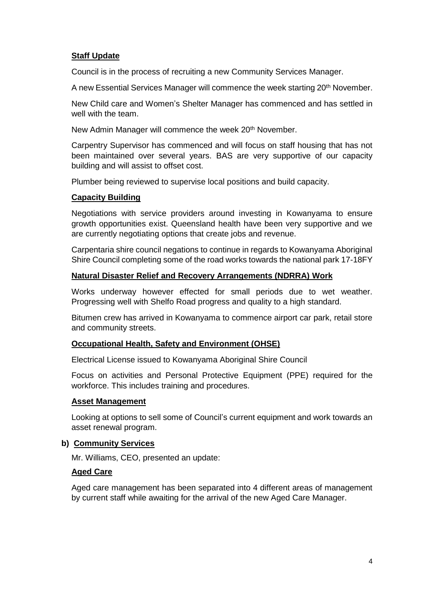## **Staff Update**

Council is in the process of recruiting a new Community Services Manager.

A new Essential Services Manager will commence the week starting 20<sup>th</sup> November.

New Child care and Women's Shelter Manager has commenced and has settled in well with the team.

New Admin Manager will commence the week 20<sup>th</sup> November.

Carpentry Supervisor has commenced and will focus on staff housing that has not been maintained over several years. BAS are very supportive of our capacity building and will assist to offset cost.

Plumber being reviewed to supervise local positions and build capacity.

## **Capacity Building**

Negotiations with service providers around investing in Kowanyama to ensure growth opportunities exist. Queensland health have been very supportive and we are currently negotiating options that create jobs and revenue.

Carpentaria shire council negations to continue in regards to Kowanyama Aboriginal Shire Council completing some of the road works towards the national park 17-18FY

#### **Natural Disaster Relief and Recovery Arrangements (NDRRA) Work**

Works underway however effected for small periods due to wet weather. Progressing well with Shelfo Road progress and quality to a high standard.

Bitumen crew has arrived in Kowanyama to commence airport car park, retail store and community streets.

## **Occupational Health, Safety and Environment (OHSE)**

Electrical License issued to Kowanyama Aboriginal Shire Council

Focus on activities and Personal Protective Equipment (PPE) required for the workforce. This includes training and procedures.

#### **Asset Management**

Looking at options to sell some of Council's current equipment and work towards an asset renewal program.

#### **b) Community Services**

Mr. Williams, CEO, presented an update:

#### **Aged Care**

Aged care management has been separated into 4 different areas of management by current staff while awaiting for the arrival of the new Aged Care Manager.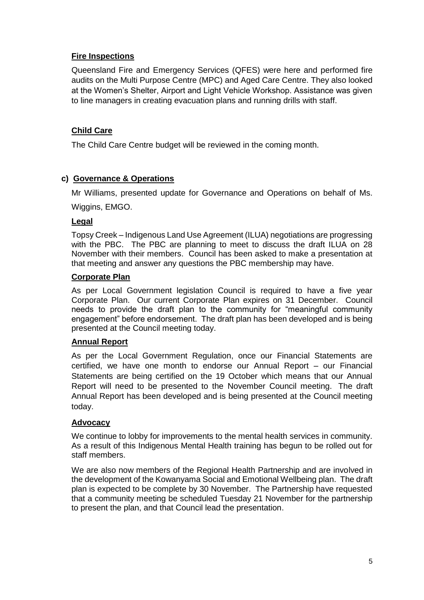# **Fire Inspections**

Queensland Fire and Emergency Services (QFES) were here and performed fire audits on the Multi Purpose Centre (MPC) and Aged Care Centre. They also looked at the Women's Shelter, Airport and Light Vehicle Workshop. Assistance was given to line managers in creating evacuation plans and running drills with staff.

# **Child Care**

The Child Care Centre budget will be reviewed in the coming month.

## **c) Governance & Operations**

Mr Williams, presented update for Governance and Operations on behalf of Ms.

Wiggins, EMGO.

## **Legal**

Topsy Creek – Indigenous Land Use Agreement (ILUA) negotiations are progressing with the PBC. The PBC are planning to meet to discuss the draft ILUA on 28 November with their members. Council has been asked to make a presentation at that meeting and answer any questions the PBC membership may have.

## **Corporate Plan**

As per Local Government legislation Council is required to have a five year Corporate Plan. Our current Corporate Plan expires on 31 December. Council needs to provide the draft plan to the community for "meaningful community engagement" before endorsement. The draft plan has been developed and is being presented at the Council meeting today.

## **Annual Report**

As per the Local Government Regulation, once our Financial Statements are certified, we have one month to endorse our Annual Report – our Financial Statements are being certified on the 19 October which means that our Annual Report will need to be presented to the November Council meeting. The draft Annual Report has been developed and is being presented at the Council meeting today.

## **Advocacy**

We continue to lobby for improvements to the mental health services in community. As a result of this Indigenous Mental Health training has begun to be rolled out for staff members.

We are also now members of the Regional Health Partnership and are involved in the development of the Kowanyama Social and Emotional Wellbeing plan. The draft plan is expected to be complete by 30 November. The Partnership have requested that a community meeting be scheduled Tuesday 21 November for the partnership to present the plan, and that Council lead the presentation.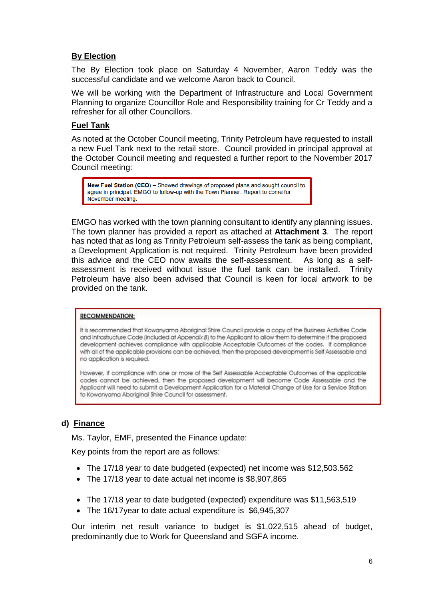# **By Election**

The By Election took place on Saturday 4 November, Aaron Teddy was the successful candidate and we welcome Aaron back to Council.

We will be working with the Department of Infrastructure and Local Government Planning to organize Councillor Role and Responsibility training for Cr Teddy and a refresher for all other Councillors.

## **Fuel Tank**

As noted at the October Council meeting, Trinity Petroleum have requested to install a new Fuel Tank next to the retail store. Council provided in principal approval at the October Council meeting and requested a further report to the November 2017 Council meeting:

New Fuel Station (CEO) – Showed drawings of proposed plans and sought council to agree in principal. EMGO to follow-up with the Town Planner. Report to come for November meeting.

EMGO has worked with the town planning consultant to identify any planning issues. The town planner has provided a report as attached at **Attachment 3**. The report has noted that as long as Trinity Petroleum self-assess the tank as being compliant, a Development Application is not required. Trinity Petroleum have been provided this advice and the CEO now awaits the self-assessment. As long as a selfassessment is received without issue the fuel tank can be installed. Trinity Petroleum have also been advised that Council is keen for local artwork to be provided on the tank.

#### **RECOMMENDATION:**

It is recommended that Kowanyama Aboriginal Shire Council provide a copy of the Business Activities Code and Infrastructure Code (included at Appendix B) to the Applicant to allow them to determine if the proposed development achieves compliance with applicable Acceptable Outcomes of the codes. If compliance with all of the applicable provisions can be achieved, then the proposed development is Self Assessable and no application is required.

However, if compliance with one or more of the Self Assessable Acceptable Outcomes of the applicable codes cannot be achieved, then the proposed development will become Code Assessable and the Applicant will need to submit a Development Application for a Material Change of Use for a Service Station to Kowanyama Aboriginal Shire Council for assessment.

# **d) Finance**

Ms. Taylor, EMF, presented the Finance update:

Key points from the report are as follows:

- The 17/18 year to date budgeted (expected) net income was \$12,503.562
- The 17/18 year to date actual net income is \$8,907,865
- The 17/18 year to date budgeted (expected) expenditure was \$11,563,519
- The 16/17 year to date actual expenditure is \$6,945,307

Our interim net result variance to budget is \$1,022,515 ahead of budget, predominantly due to Work for Queensland and SGFA income.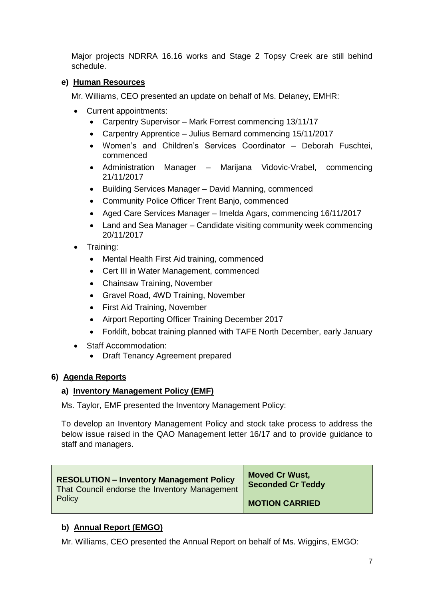Major projects NDRRA 16.16 works and Stage 2 Topsy Creek are still behind schedule.

# **e) Human Resources**

Mr. Williams, CEO presented an update on behalf of Ms. Delaney, EMHR:

- Current appointments:
	- Carpentry Supervisor Mark Forrest commencing 13/11/17
	- Carpentry Apprentice Julius Bernard commencing 15/11/2017
	- Women's and Children's Services Coordinator Deborah Fuschtei, commenced
	- Administration Manager Marijana Vidovic-Vrabel, commencing 21/11/2017
	- Building Services Manager David Manning, commenced
	- Community Police Officer Trent Banjo, commenced
	- Aged Care Services Manager Imelda Agars, commencing 16/11/2017
	- Land and Sea Manager Candidate visiting community week commencing 20/11/2017
- Training:
	- Mental Health First Aid training, commenced
	- Cert III in Water Management, commenced
	- Chainsaw Training, November
	- Gravel Road, 4WD Training, November
	- First Aid Training, November
	- Airport Reporting Officer Training December 2017
	- Forklift, bobcat training planned with TAFE North December, early January
- Staff Accommodation:
	- Draft Tenancy Agreement prepared

## **6) Agenda Reports**

## **a) Inventory Management Policy (EMF)**

Ms. Taylor, EMF presented the Inventory Management Policy:

To develop an Inventory Management Policy and stock take process to address the below issue raised in the QAO Management letter 16/17 and to provide guidance to staff and managers.

| <b>RESOLUTION - Inventory Management Policy</b> | <b>Moved Cr Wust,</b>    |
|-------------------------------------------------|--------------------------|
| That Council endorse the Inventory Management   | <b>Seconded Cr Teddy</b> |
| Policy                                          | <b>MOTION CARRIED</b>    |

# **b) Annual Report (EMGO)**

Mr. Williams, CEO presented the Annual Report on behalf of Ms. Wiggins, EMGO: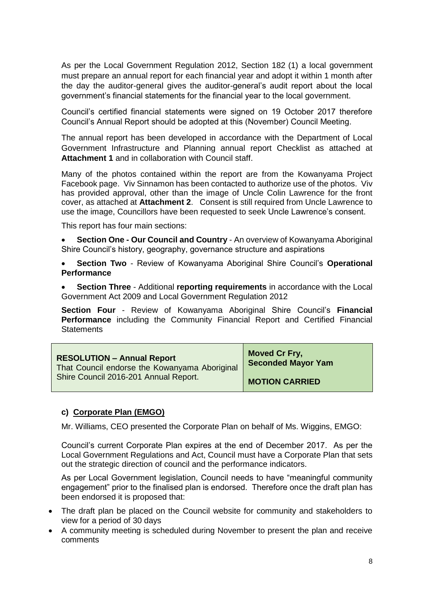As per the Local Government Regulation 2012, Section 182 (1) a local government must prepare an annual report for each financial year and adopt it within 1 month after the day the auditor-general gives the auditor-general's audit report about the local government's financial statements for the financial year to the local government.

Council's certified financial statements were signed on 19 October 2017 therefore Council's Annual Report should be adopted at this (November) Council Meeting.

The annual report has been developed in accordance with the Department of Local Government Infrastructure and Planning annual report Checklist as attached at **Attachment 1** and in collaboration with Council staff.

Many of the photos contained within the report are from the Kowanyama Project Facebook page. Viv Sinnamon has been contacted to authorize use of the photos. Viv has provided approval, other than the image of Uncle Colin Lawrence for the front cover, as attached at **Attachment 2**. Consent is still required from Uncle Lawrence to use the image, Councillors have been requested to seek Uncle Lawrence's consent.

This report has four main sections:

 **Section One - Our Council and Country** - An overview of Kowanyama Aboriginal Shire Council's history, geography, governance structure and aspirations

 **Section Two** - Review of Kowanyama Aboriginal Shire Council's **Operational Performance**

 **Section Three** - Additional **reporting requirements** in accordance with the Local Government Act 2009 and Local Government Regulation 2012

**Section Four** - Review of Kowanyama Aboriginal Shire Council's **Financial Performance** including the Community Financial Report and Certified Financial **Statements** 

| <b>RESOLUTION - Annual Report</b>             | <b>Moved Cr Fry,</b>      |
|-----------------------------------------------|---------------------------|
| That Council endorse the Kowanyama Aboriginal | <b>Seconded Mayor Yam</b> |
| Shire Council 2016-201 Annual Report.         | <b>MOTION CARRIED</b>     |

## **c) Corporate Plan (EMGO)**

Mr. Williams, CEO presented the Corporate Plan on behalf of Ms. Wiggins, EMGO:

Council's current Corporate Plan expires at the end of December 2017. As per the Local Government Regulations and Act, Council must have a Corporate Plan that sets out the strategic direction of council and the performance indicators.

As per Local Government legislation, Council needs to have "meaningful community engagement" prior to the finalised plan is endorsed. Therefore once the draft plan has been endorsed it is proposed that:

- The draft plan be placed on the Council website for community and stakeholders to view for a period of 30 days
- A community meeting is scheduled during November to present the plan and receive comments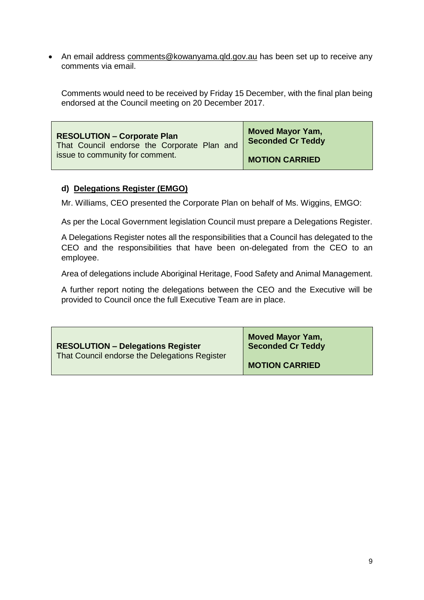An email address [comments@kowanyama.qld.gov.au](mailto:comments@kowanyama.qld.gov.au) has been set up to receive any comments via email.

Comments would need to be received by Friday 15 December, with the final plan being endorsed at the Council meeting on 20 December 2017.

| <b>RESOLUTION - Corporate Plan</b>          | <b>Moved Mayor Yam,</b>  |
|---------------------------------------------|--------------------------|
| That Council endorse the Corporate Plan and | <b>Seconded Cr Teddy</b> |
| issue to community for comment.             | <b>MOTION CARRIED</b>    |

## **d) Delegations Register (EMGO)**

Mr. Williams, CEO presented the Corporate Plan on behalf of Ms. Wiggins, EMGO:

As per the Local Government legislation Council must prepare a Delegations Register.

A Delegations Register notes all the responsibilities that a Council has delegated to the CEO and the responsibilities that have been on-delegated from the CEO to an employee.

Area of delegations include Aboriginal Heritage, Food Safety and Animal Management.

A further report noting the delegations between the CEO and the Executive will be provided to Council once the full Executive Team are in place.

| <b>RESOLUTION - Delegations Register</b>      | <b>Moved Mayor Yam,</b>  |
|-----------------------------------------------|--------------------------|
| That Council endorse the Delegations Register | <b>Seconded Cr Teddy</b> |
|                                               | <b>MOTION CARRIED</b>    |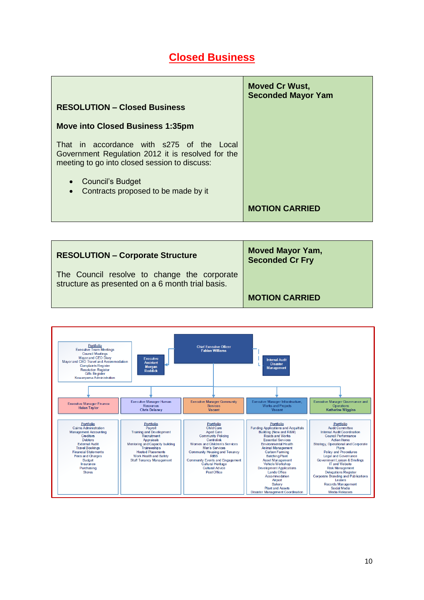# **Closed Business**

|                                                                                                                                                 | <b>Moved Cr Wust,</b><br><b>Seconded Mayor Yam</b> |
|-------------------------------------------------------------------------------------------------------------------------------------------------|----------------------------------------------------|
| <b>RESOLUTION - Closed Business</b>                                                                                                             |                                                    |
| <b>Move into Closed Business 1:35pm</b>                                                                                                         |                                                    |
| That in accordance with s275 of the Local<br>Government Regulation 2012 it is resolved for the<br>meeting to go into closed session to discuss: |                                                    |
| • Council's Budget<br>Contracts proposed to be made by it<br>$\bullet$                                                                          |                                                    |
|                                                                                                                                                 | <b>MOTION CARRIED</b>                              |

| <b>RESOLUTION - Corporate Structure</b>                                                         | <b>Moved Mayor Yam,</b><br><b>Seconded Cr Fry</b> |
|-------------------------------------------------------------------------------------------------|---------------------------------------------------|
| The Council resolve to change the corporate<br>structure as presented on a 6 month trial basis. |                                                   |
|                                                                                                 | <b>MOTION CARRIED</b>                             |